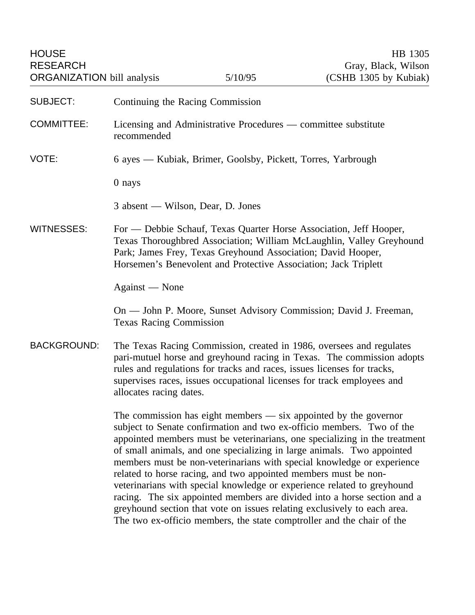HOUSE HB 1305 ORGANIZATION bill analysis

| <b>SUBJECT:</b>    | Continuing the Racing Commission                                                                                                                                                                                                                                                                                                                                                                                                                                                                                                                                                                                                                                                                                                                              |
|--------------------|---------------------------------------------------------------------------------------------------------------------------------------------------------------------------------------------------------------------------------------------------------------------------------------------------------------------------------------------------------------------------------------------------------------------------------------------------------------------------------------------------------------------------------------------------------------------------------------------------------------------------------------------------------------------------------------------------------------------------------------------------------------|
| <b>COMMITTEE:</b>  | Licensing and Administrative Procedures — committee substitute<br>recommended                                                                                                                                                                                                                                                                                                                                                                                                                                                                                                                                                                                                                                                                                 |
| VOTE:              | 6 ayes — Kubiak, Brimer, Goolsby, Pickett, Torres, Yarbrough                                                                                                                                                                                                                                                                                                                                                                                                                                                                                                                                                                                                                                                                                                  |
|                    | 0 nays                                                                                                                                                                                                                                                                                                                                                                                                                                                                                                                                                                                                                                                                                                                                                        |
|                    | 3 absent — Wilson, Dear, D. Jones                                                                                                                                                                                                                                                                                                                                                                                                                                                                                                                                                                                                                                                                                                                             |
| <b>WITNESSES:</b>  | For — Debbie Schauf, Texas Quarter Horse Association, Jeff Hooper,<br>Texas Thoroughbred Association; William McLaughlin, Valley Greyhound<br>Park; James Frey, Texas Greyhound Association; David Hooper,<br>Horsemen's Benevolent and Protective Association; Jack Triplett                                                                                                                                                                                                                                                                                                                                                                                                                                                                                 |
|                    | Against — None                                                                                                                                                                                                                                                                                                                                                                                                                                                                                                                                                                                                                                                                                                                                                |
|                    | On — John P. Moore, Sunset Advisory Commission; David J. Freeman,<br><b>Texas Racing Commission</b>                                                                                                                                                                                                                                                                                                                                                                                                                                                                                                                                                                                                                                                           |
| <b>BACKGROUND:</b> | The Texas Racing Commission, created in 1986, oversees and regulates<br>pari-mutuel horse and greyhound racing in Texas. The commission adopts<br>rules and regulations for tracks and races, issues licenses for tracks,<br>supervises races, issues occupational licenses for track employees and<br>allocates racing dates.                                                                                                                                                                                                                                                                                                                                                                                                                                |
|                    | The commission has eight members $-$ six appointed by the governor<br>subject to Senate confirmation and two ex-officio members. Two of the<br>appointed members must be veterinarians, one specializing in the treatment<br>of small animals, and one specializing in large animals. Two appointed<br>members must be non-veterinarians with special knowledge or experience<br>related to horse racing, and two appointed members must be non-<br>veterinarians with special knowledge or experience related to greyhound<br>racing. The six appointed members are divided into a horse section and a<br>greyhound section that vote on issues relating exclusively to each area.<br>The two ex-officio members, the state comptroller and the chair of the |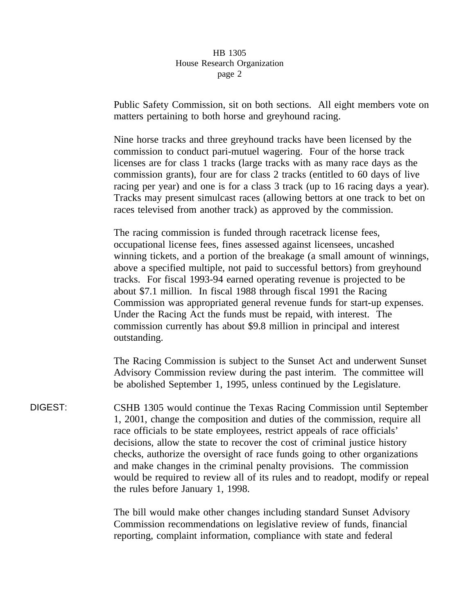Public Safety Commission, sit on both sections. All eight members vote on matters pertaining to both horse and greyhound racing.

Nine horse tracks and three greyhound tracks have been licensed by the commission to conduct pari-mutuel wagering. Four of the horse track licenses are for class 1 tracks (large tracks with as many race days as the commission grants), four are for class 2 tracks (entitled to 60 days of live racing per year) and one is for a class 3 track (up to 16 racing days a year). Tracks may present simulcast races (allowing bettors at one track to bet on races televised from another track) as approved by the commission.

The racing commission is funded through racetrack license fees, occupational license fees, fines assessed against licensees, uncashed winning tickets, and a portion of the breakage (a small amount of winnings, above a specified multiple, not paid to successful bettors) from greyhound tracks. For fiscal 1993-94 earned operating revenue is projected to be about \$7.1 million. In fiscal 1988 through fiscal 1991 the Racing Commission was appropriated general revenue funds for start-up expenses. Under the Racing Act the funds must be repaid, with interest. The commission currently has about \$9.8 million in principal and interest outstanding.

The Racing Commission is subject to the Sunset Act and underwent Sunset Advisory Commission review during the past interim. The committee will be abolished September 1, 1995, unless continued by the Legislature.

DIGEST: CSHB 1305 would continue the Texas Racing Commission until September 1, 2001, change the composition and duties of the commission, require all race officials to be state employees, restrict appeals of race officials' decisions, allow the state to recover the cost of criminal justice history checks, authorize the oversight of race funds going to other organizations and make changes in the criminal penalty provisions. The commission would be required to review all of its rules and to readopt, modify or repeal the rules before January 1, 1998.

> The bill would make other changes including standard Sunset Advisory Commission recommendations on legislative review of funds, financial reporting, complaint information, compliance with state and federal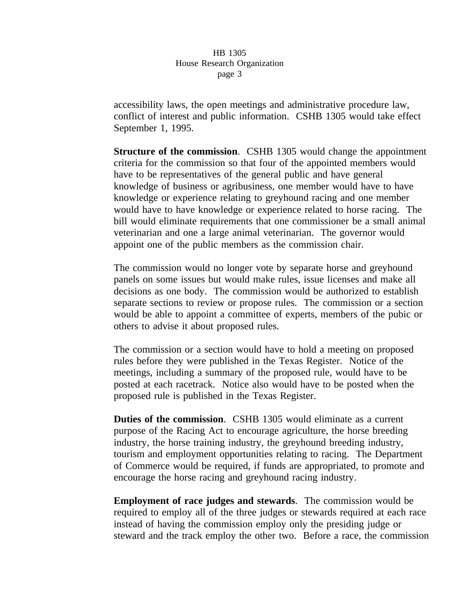accessibility laws, the open meetings and administrative procedure law, conflict of interest and public information. CSHB 1305 would take effect September 1, 1995.

**Structure of the commission**. CSHB 1305 would change the appointment criteria for the commission so that four of the appointed members would have to be representatives of the general public and have general knowledge of business or agribusiness, one member would have to have knowledge or experience relating to greyhound racing and one member would have to have knowledge or experience related to horse racing. The bill would eliminate requirements that one commissioner be a small animal veterinarian and one a large animal veterinarian. The governor would appoint one of the public members as the commission chair.

The commission would no longer vote by separate horse and greyhound panels on some issues but would make rules, issue licenses and make all decisions as one body. The commission would be authorized to establish separate sections to review or propose rules. The commission or a section would be able to appoint a committee of experts, members of the pubic or others to advise it about proposed rules.

The commission or a section would have to hold a meeting on proposed rules before they were published in the Texas Register. Notice of the meetings, including a summary of the proposed rule, would have to be posted at each racetrack. Notice also would have to be posted when the proposed rule is published in the Texas Register.

**Duties of the commission.** CSHB 1305 would eliminate as a current purpose of the Racing Act to encourage agriculture, the horse breeding industry, the horse training industry, the greyhound breeding industry, tourism and employment opportunities relating to racing. The Department of Commerce would be required, if funds are appropriated, to promote and encourage the horse racing and greyhound racing industry.

**Employment of race judges and stewards**. The commission would be required to employ all of the three judges or stewards required at each race instead of having the commission employ only the presiding judge or steward and the track employ the other two. Before a race, the commission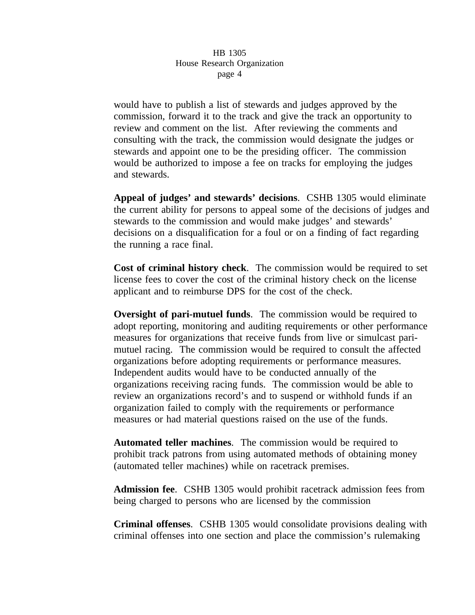would have to publish a list of stewards and judges approved by the commission, forward it to the track and give the track an opportunity to review and comment on the list. After reviewing the comments and consulting with the track, the commission would designate the judges or stewards and appoint one to be the presiding officer. The commission would be authorized to impose a fee on tracks for employing the judges and stewards.

**Appeal of judges' and stewards' decisions**. CSHB 1305 would eliminate the current ability for persons to appeal some of the decisions of judges and stewards to the commission and would make judges' and stewards' decisions on a disqualification for a foul or on a finding of fact regarding the running a race final.

**Cost of criminal history check**. The commission would be required to set license fees to cover the cost of the criminal history check on the license applicant and to reimburse DPS for the cost of the check.

**Oversight of pari-mutuel funds**. The commission would be required to adopt reporting, monitoring and auditing requirements or other performance measures for organizations that receive funds from live or simulcast parimutuel racing. The commission would be required to consult the affected organizations before adopting requirements or performance measures. Independent audits would have to be conducted annually of the organizations receiving racing funds. The commission would be able to review an organizations record's and to suspend or withhold funds if an organization failed to comply with the requirements or performance measures or had material questions raised on the use of the funds.

**Automated teller machines**. The commission would be required to prohibit track patrons from using automated methods of obtaining money (automated teller machines) while on racetrack premises.

**Admission fee**. CSHB 1305 would prohibit racetrack admission fees from being charged to persons who are licensed by the commission

**Criminal offenses**. CSHB 1305 would consolidate provisions dealing with criminal offenses into one section and place the commission's rulemaking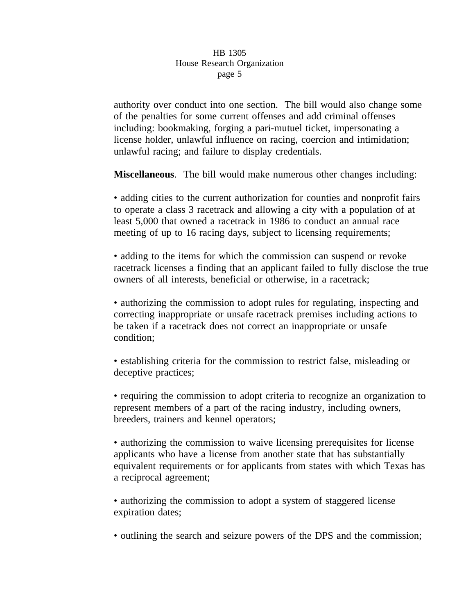authority over conduct into one section. The bill would also change some of the penalties for some current offenses and add criminal offenses including: bookmaking, forging a pari-mutuel ticket, impersonating a license holder, unlawful influence on racing, coercion and intimidation; unlawful racing; and failure to display credentials.

**Miscellaneous**. The bill would make numerous other changes including:

• adding cities to the current authorization for counties and nonprofit fairs to operate a class 3 racetrack and allowing a city with a population of at least 5,000 that owned a racetrack in 1986 to conduct an annual race meeting of up to 16 racing days, subject to licensing requirements;

• adding to the items for which the commission can suspend or revoke racetrack licenses a finding that an applicant failed to fully disclose the true owners of all interests, beneficial or otherwise, in a racetrack;

• authorizing the commission to adopt rules for regulating, inspecting and correcting inappropriate or unsafe racetrack premises including actions to be taken if a racetrack does not correct an inappropriate or unsafe condition;

• establishing criteria for the commission to restrict false, misleading or deceptive practices;

• requiring the commission to adopt criteria to recognize an organization to represent members of a part of the racing industry, including owners, breeders, trainers and kennel operators;

• authorizing the commission to waive licensing prerequisites for license applicants who have a license from another state that has substantially equivalent requirements or for applicants from states with which Texas has a reciprocal agreement;

• authorizing the commission to adopt a system of staggered license expiration dates;

• outlining the search and seizure powers of the DPS and the commission;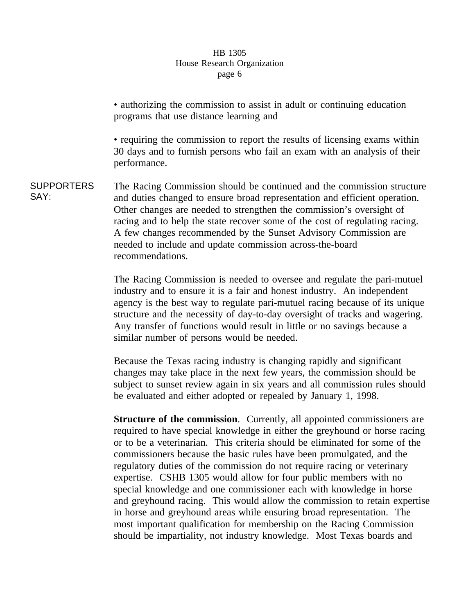• authorizing the commission to assist in adult or continuing education programs that use distance learning and

• requiring the commission to report the results of licensing exams within 30 days and to furnish persons who fail an exam with an analysis of their performance.

**SUPPORTERS** SAY: The Racing Commission should be continued and the commission structure and duties changed to ensure broad representation and efficient operation. Other changes are needed to strengthen the commission's oversight of racing and to help the state recover some of the cost of regulating racing. A few changes recommended by the Sunset Advisory Commission are needed to include and update commission across-the-board recommendations.

> The Racing Commission is needed to oversee and regulate the pari-mutuel industry and to ensure it is a fair and honest industry. An independent agency is the best way to regulate pari-mutuel racing because of its unique structure and the necessity of day-to-day oversight of tracks and wagering. Any transfer of functions would result in little or no savings because a similar number of persons would be needed.

> Because the Texas racing industry is changing rapidly and significant changes may take place in the next few years, the commission should be subject to sunset review again in six years and all commission rules should be evaluated and either adopted or repealed by January 1, 1998.

**Structure of the commission**. Currently, all appointed commissioners are required to have special knowledge in either the greyhound or horse racing or to be a veterinarian. This criteria should be eliminated for some of the commissioners because the basic rules have been promulgated, and the regulatory duties of the commission do not require racing or veterinary expertise. CSHB 1305 would allow for four public members with no special knowledge and one commissioner each with knowledge in horse and greyhound racing. This would allow the commission to retain expertise in horse and greyhound areas while ensuring broad representation. The most important qualification for membership on the Racing Commission should be impartiality, not industry knowledge. Most Texas boards and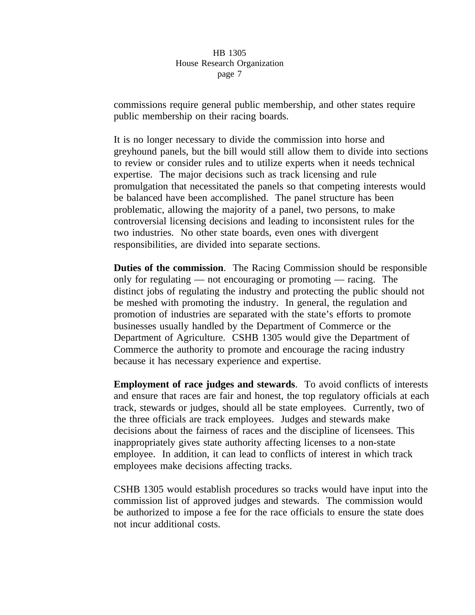commissions require general public membership, and other states require public membership on their racing boards.

It is no longer necessary to divide the commission into horse and greyhound panels, but the bill would still allow them to divide into sections to review or consider rules and to utilize experts when it needs technical expertise. The major decisions such as track licensing and rule promulgation that necessitated the panels so that competing interests would be balanced have been accomplished. The panel structure has been problematic, allowing the majority of a panel, two persons, to make controversial licensing decisions and leading to inconsistent rules for the two industries. No other state boards, even ones with divergent responsibilities, are divided into separate sections.

**Duties of the commission**. The Racing Commission should be responsible only for regulating — not encouraging or promoting — racing. The distinct jobs of regulating the industry and protecting the public should not be meshed with promoting the industry. In general, the regulation and promotion of industries are separated with the state's efforts to promote businesses usually handled by the Department of Commerce or the Department of Agriculture. CSHB 1305 would give the Department of Commerce the authority to promote and encourage the racing industry because it has necessary experience and expertise.

**Employment of race judges and stewards**. To avoid conflicts of interests and ensure that races are fair and honest, the top regulatory officials at each track, stewards or judges, should all be state employees. Currently, two of the three officials are track employees. Judges and stewards make decisions about the fairness of races and the discipline of licensees. This inappropriately gives state authority affecting licenses to a non-state employee. In addition, it can lead to conflicts of interest in which track employees make decisions affecting tracks.

CSHB 1305 would establish procedures so tracks would have input into the commission list of approved judges and stewards. The commission would be authorized to impose a fee for the race officials to ensure the state does not incur additional costs.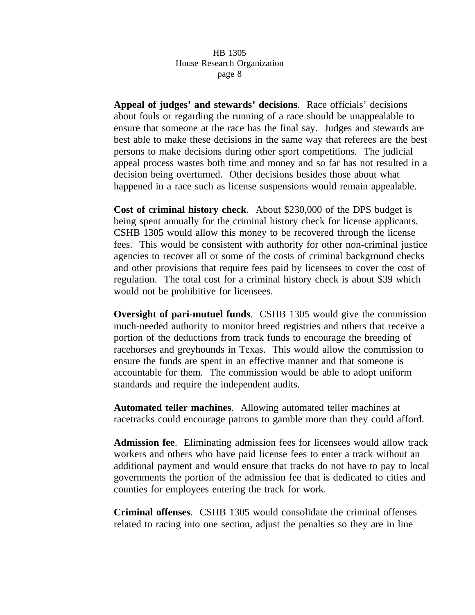**Appeal of judges' and stewards' decisions**. Race officials' decisions about fouls or regarding the running of a race should be unappealable to ensure that someone at the race has the final say. Judges and stewards are best able to make these decisions in the same way that referees are the best persons to make decisions during other sport competitions. The judicial appeal process wastes both time and money and so far has not resulted in a decision being overturned. Other decisions besides those about what happened in a race such as license suspensions would remain appealable.

**Cost of criminal history check**. About \$230,000 of the DPS budget is being spent annually for the criminal history check for license applicants. CSHB 1305 would allow this money to be recovered through the license fees. This would be consistent with authority for other non-criminal justice agencies to recover all or some of the costs of criminal background checks and other provisions that require fees paid by licensees to cover the cost of regulation. The total cost for a criminal history check is about \$39 which would not be prohibitive for licensees.

**Oversight of pari-mutuel funds.** CSHB 1305 would give the commission much-needed authority to monitor breed registries and others that receive a portion of the deductions from track funds to encourage the breeding of racehorses and greyhounds in Texas. This would allow the commission to ensure the funds are spent in an effective manner and that someone is accountable for them. The commission would be able to adopt uniform standards and require the independent audits.

**Automated teller machines**. Allowing automated teller machines at racetracks could encourage patrons to gamble more than they could afford.

**Admission fee**. Eliminating admission fees for licensees would allow track workers and others who have paid license fees to enter a track without an additional payment and would ensure that tracks do not have to pay to local governments the portion of the admission fee that is dedicated to cities and counties for employees entering the track for work.

**Criminal offenses**. CSHB 1305 would consolidate the criminal offenses related to racing into one section, adjust the penalties so they are in line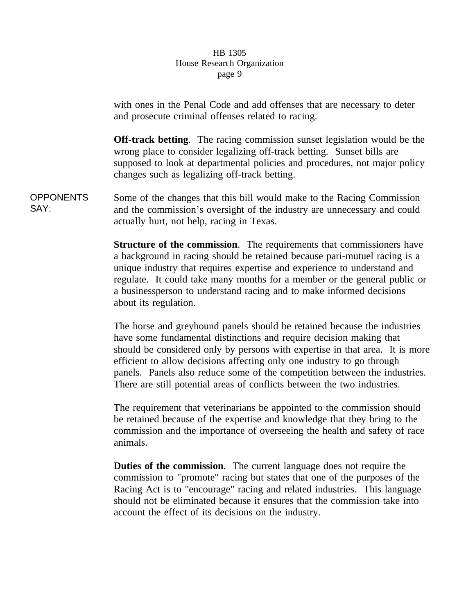with ones in the Penal Code and add offenses that are necessary to deter and prosecute criminal offenses related to racing.

**Off-track betting**. The racing commission sunset legislation would be the wrong place to consider legalizing off-track betting. Sunset bills are supposed to look at departmental policies and procedures, not major policy changes such as legalizing off-track betting.

OPPONENTS SAY: Some of the changes that this bill would make to the Racing Commission and the commission's oversight of the industry are unnecessary and could actually hurt, not help, racing in Texas.

> **Structure of the commission**. The requirements that commissioners have a background in racing should be retained because pari-mutuel racing is a unique industry that requires expertise and experience to understand and regulate. It could take many months for a member or the general public or a businessperson to understand racing and to make informed decisions about its regulation.

> The horse and greyhound panels should be retained because the industries have some fundamental distinctions and require decision making that should be considered only by persons with expertise in that area. It is more efficient to allow decisions affecting only one industry to go through panels. Panels also reduce some of the competition between the industries. There are still potential areas of conflicts between the two industries.

The requirement that veterinarians be appointed to the commission should be retained because of the expertise and knowledge that they bring to the commission and the importance of overseeing the health and safety of race animals.

**Duties of the commission**. The current language does not require the commission to "promote" racing but states that one of the purposes of the Racing Act is to "encourage" racing and related industries. This language should not be eliminated because it ensures that the commission take into account the effect of its decisions on the industry.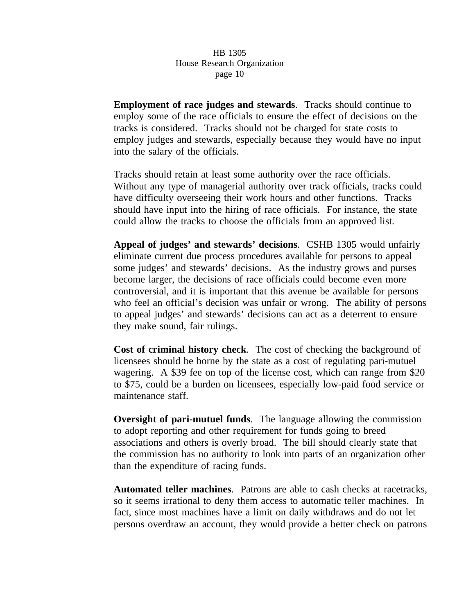**Employment of race judges and stewards**. Tracks should continue to employ some of the race officials to ensure the effect of decisions on the tracks is considered. Tracks should not be charged for state costs to employ judges and stewards, especially because they would have no input into the salary of the officials.

Tracks should retain at least some authority over the race officials. Without any type of managerial authority over track officials, tracks could have difficulty overseeing their work hours and other functions. Tracks should have input into the hiring of race officials. For instance, the state could allow the tracks to choose the officials from an approved list.

**Appeal of judges' and stewards' decisions**. CSHB 1305 would unfairly eliminate current due process procedures available for persons to appeal some judges' and stewards' decisions. As the industry grows and purses become larger, the decisions of race officials could become even more controversial, and it is important that this avenue be available for persons who feel an official's decision was unfair or wrong. The ability of persons to appeal judges' and stewards' decisions can act as a deterrent to ensure they make sound, fair rulings.

**Cost of criminal history check**. The cost of checking the background of licensees should be borne by the state as a cost of regulating pari-mutuel wagering. A \$39 fee on top of the license cost, which can range from \$20 to \$75, could be a burden on licensees, especially low-paid food service or maintenance staff.

**Oversight of pari-mutuel funds**. The language allowing the commission to adopt reporting and other requirement for funds going to breed associations and others is overly broad. The bill should clearly state that the commission has no authority to look into parts of an organization other than the expenditure of racing funds.

**Automated teller machines**. Patrons are able to cash checks at racetracks, so it seems irrational to deny them access to automatic teller machines. In fact, since most machines have a limit on daily withdraws and do not let persons overdraw an account, they would provide a better check on patrons